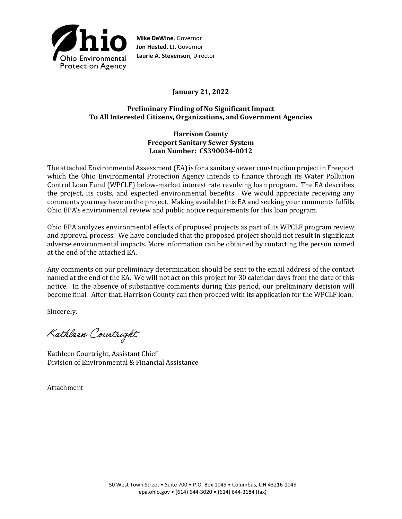

**Mike DeWine**, Governor **Jon Husted**, Lt. Governor **Laurie A. Stevenson**, Director

**January 21, 2022** 

## **Preliminary Finding of No Significant Impact To All Interested Citizens, Organizations, and Government Agencies**

### **Harrison County Freeport Sanitary Sewer System Loan Number: CS390034-0012**

The attached Environmental Assessment (EA) is for a sanitary sewer construction project in Freeport which the Ohio Environmental Protection Agency intends to finance through its Water Pollution Control Loan Fund (WPCLF) below-market interest rate revolving loan program. The EA describes the project, its costs, and expected environmental benefits. We would appreciate receiving any comments you may have on the project. Making available this EA and seeking your comments fulfills Ohio EPA's environmental review and public notice requirements for this loan program.

Ohio EPA analyzes environmental effects of proposed projects as part of its WPCLF program review and approval process. We have concluded that the proposed project should not result in significant adverse environmental impacts. More information can be obtained by contacting the person named at the end of the attached EA.

Any comments on our preliminary determination should be sent to the email address of the contact named at the end of the EA. We will not act on this project for 30 calendar days from the date of this notice. In the absence of substantive comments during this period, our preliminary decision will become final. After that, Harrison County can then proceed with its application for the WPCLF loan.

Sincerely,

Kathleen Courtright

Kathleen Courtright, Assistant Chief Division of Environmental & Financial Assistance

Attachment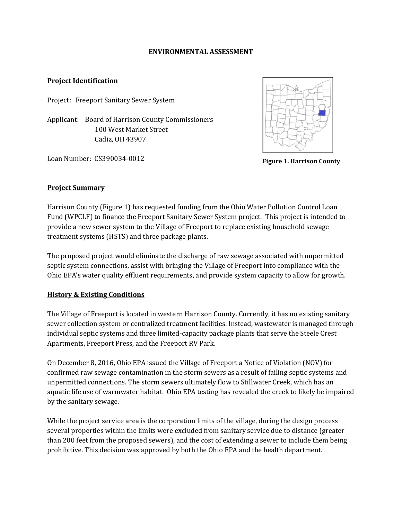#### **ENVIRONMENTAL ASSESSMENT**

### **Project Identification**

Project: Freeport Sanitary Sewer System

Applicant: Board of Harrison County Commissioners 100 West Market Street Cadiz, OH 43907

Loan Number: CS390034-0012



**Figure 1. Harrison County**

### **Project Summary**

Harrison County (Figure 1) has requested funding from the Ohio Water Pollution Control Loan Fund (WPCLF) to finance the Freeport Sanitary Sewer System project. This project is intended to provide a new sewer system to the Village of Freeport to replace existing household sewage treatment systems (HSTS) and three package plants.

The proposed project would eliminate the discharge of raw sewage associated with unpermitted septic system connections, assist with bringing the Village of Freeport into compliance with the Ohio EPA's water quality effluent requirements, and provide system capacity to allow for growth.

### **History & Existing Conditions**

The Village of Freeport is located in western Harrison County. Currently, it has no existing sanitary sewer collection system or centralized treatment facilities. Instead, wastewater is managed through individual septic systems and three limited-capacity package plants that serve the Steele Crest Apartments, Freeport Press, and the Freeport RV Park.

On December 8, 2016, Ohio EPA issued the Village of Freeport a Notice of Violation (NOV) for confirmed raw sewage contamination in the storm sewers as a result of failing septic systems and unpermitted connections. The storm sewers ultimately flow to Stillwater Creek, which has an aquatic life use of warmwater habitat. Ohio EPA testing has revealed the creek to likely be impaired by the sanitary sewage.

While the project service area is the corporation limits of the village, during the design process several properties within the limits were excluded from sanitary service due to distance (greater than 200 feet from the proposed sewers), and the cost of extending a sewer to include them being prohibitive. This decision was approved by both the Ohio EPA and the health department.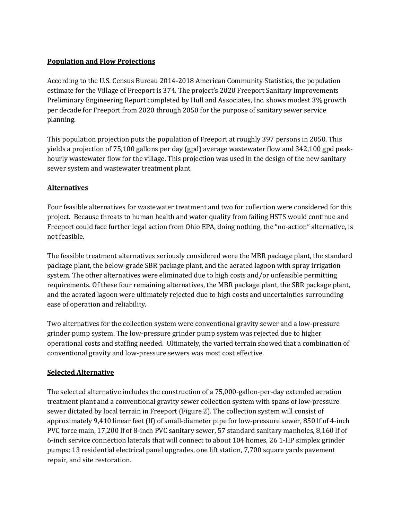# **Population and Flow Projections**

According to the U.S. Census Bureau 2014-2018 American Community Statistics, the population estimate for the Village of Freeport is 374. The project's 2020 Freeport Sanitary Improvements Preliminary Engineering Report completed by Hull and Associates, Inc. shows modest 3% growth per decade for Freeport from 2020 through 2050 for the purpose of sanitary sewer service planning.

This population projection puts the population of Freeport at roughly 397 persons in 2050. This yields a projection of 75,100 gallons per day (gpd) average wastewater flow and 342,100 gpd peakhourly wastewater flow for the village. This projection was used in the design of the new sanitary sewer system and wastewater treatment plant.

## **Alternatives**

Four feasible alternatives for wastewater treatment and two for collection were considered for this project. Because threats to human health and water quality from failing HSTS would continue and Freeport could face further legal action from Ohio EPA, doing nothing, the "no-action" alternative, is not feasible.

The feasible treatment alternatives seriously considered were the MBR package plant, the standard package plant, the below-grade SBR package plant, and the aerated lagoon with spray irrigation system. The other alternatives were eliminated due to high costs and/or unfeasible permitting requirements. Of these four remaining alternatives, the MBR package plant, the SBR package plant, and the aerated lagoon were ultimately rejected due to high costs and uncertainties surrounding ease of operation and reliability.

Two alternatives for the collection system were conventional gravity sewer and a low-pressure grinder pump system. The low-pressure grinder pump system was rejected due to higher operational costs and staffing needed. Ultimately, the varied terrain showed that a combination of conventional gravity and low-pressure sewers was most cost effective.

## **Selected Alternative**

The selected alternative includes the construction of a 75,000-gallon-per-day extended aeration treatment plant and a conventional gravity sewer collection system with spans of low-pressure sewer dictated by local terrain in Freeport (Figure 2). The collection system will consist of approximately 9,410 linear feet (lf) of small-diameter pipe for low-pressure sewer, 850 lf of 4-inch PVC force main, 17,200 lf of 8-inch PVC sanitary sewer, 57 standard sanitary manholes, 8,160 lf of 6-inch service connection laterals that will connect to about 104 homes, 26 1-HP simplex grinder pumps; 13 residential electrical panel upgrades, one lift station, 7,700 square yards pavement repair, and site restoration.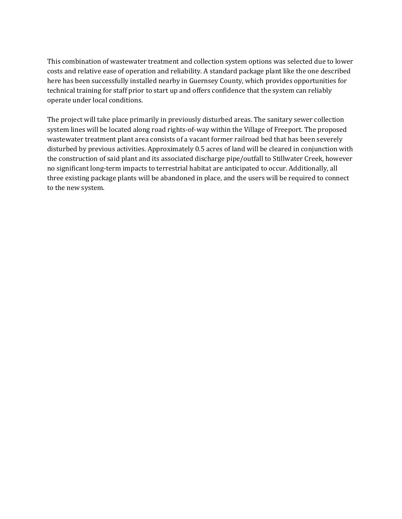This combination of wastewater treatment and collection system options was selected due to lower costs and relative ease of operation and reliability. A standard package plant like the one described here has been successfully installed nearby in Guernsey County, which provides opportunities for technical training for staff prior to start up and offers confidence that the system can reliably operate under local conditions.

The project will take place primarily in previously disturbed areas. The sanitary sewer collection system lines will be located along road rights-of-way within the Village of Freeport. The proposed wastewater treatment plant area consists of a vacant former railroad bed that has been severely disturbed by previous activities. Approximately 0.5 acres of land will be cleared in conjunction with the construction of said plant and its associated discharge pipe/outfall to Stillwater Creek, however no significant long-term impacts to terrestrial habitat are anticipated to occur. Additionally, all three existing package plants will be abandoned in place, and the users will be required to connect to the new system.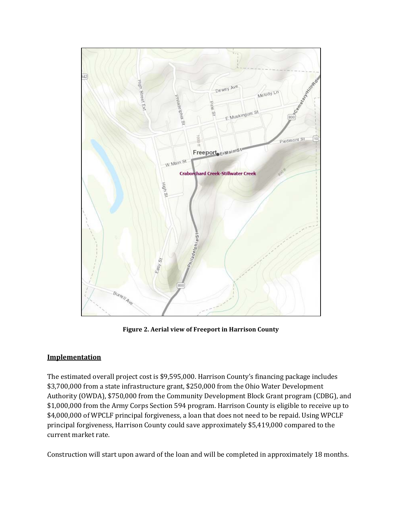

**Figure 2. Aerial view of Freeport in Harrison County**

### **Implementation**

The estimated overall project cost is \$9,595,000. Harrison County's financing package includes \$3,700,000 from a state infrastructure grant, \$250,000 from the Ohio Water Development Authority (OWDA), \$750,000 from the Community Development Block Grant program (CDBG), and \$1,000,000 from the Army Corps Section 594 program. Harrison County is eligible to receive up to \$4,000,000 of WPCLF principal forgiveness, a loan that does not need to be repaid. Using WPCLF principal forgiveness, Harrison County could save approximately \$5,419,000 compared to the current market rate.

Construction will start upon award of the loan and will be completed in approximately 18 months.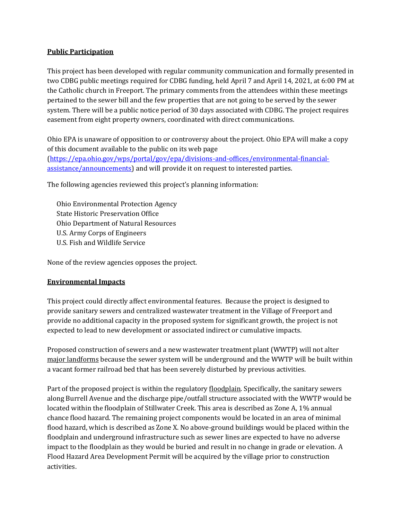#### **Public Participation**

This project has been developed with regular community communication and formally presented in two CDBG public meetings required for CDBG funding, held April 7 and April 14, 2021, at 6:00 PM at the Catholic church in Freeport. The primary comments from the attendees within these meetings pertained to the sewer bill and the few properties that are not going to be served by the sewer system. There will be a public notice period of 30 days associated with CDBG. The project requires easement from eight property owners, coordinated with direct communications.

Ohio EPA is unaware of opposition to or controversy about the project. Ohio EPA will make a copy of this document available to the public on its web page [\(https://epa.ohio.gov/wps/portal/gov/epa/divisions-and-offices/environmental-financial](https://epa.ohio.gov/wps/portal/gov/epa/divisions-and-offices/environmental-financial-assistance/announcements)[assistance/announcements\)](https://epa.ohio.gov/wps/portal/gov/epa/divisions-and-offices/environmental-financial-assistance/announcements) and will provide it on request to interested parties.

The following agencies reviewed this project's planning information:

Ohio Environmental Protection Agency State Historic Preservation Office Ohio Department of Natural Resources U.S. Army Corps of Engineers U.S. Fish and Wildlife Service

None of the review agencies opposes the project.

### **Environmental Impacts**

This project could directly affect environmental features. Because the project is designed to provide sanitary sewers and centralized wastewater treatment in the Village of Freeport and provide no additional capacity in the proposed system for significant growth, the project is not expected to lead to new development or associated indirect or cumulative impacts.

Proposed construction of sewers and a new wastewater treatment plant (WWTP) will not alter major landforms because the sewer system will be underground and the WWTP will be built within a vacant former railroad bed that has been severely disturbed by previous activities.

Part of the proposed project is within the regulatory floodplain. Specifically, the sanitary sewers along Burrell Avenue and the discharge pipe/outfall structure associated with the WWTP would be located within the floodplain of Stillwater Creek. This area is described as Zone A, 1% annual chance flood hazard. The remaining project components would be located in an area of minimal flood hazard, which is described as Zone X. No above-ground buildings would be placed within the floodplain and underground infrastructure such as sewer lines are expected to have no adverse impact to the floodplain as they would be buried and result in no change in grade or elevation. A Flood Hazard Area Development Permit will be acquired by the village prior to construction activities.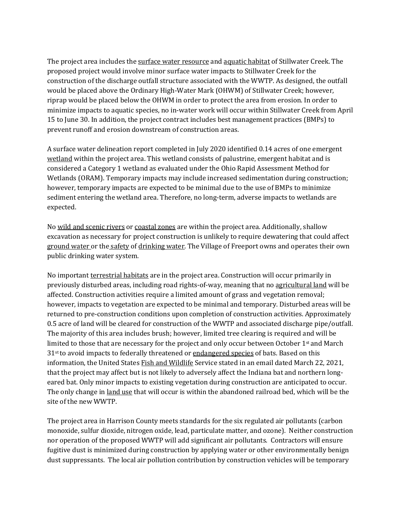The project area includes the surface water resource and aquatic habitat of Stillwater Creek. The proposed project would involve minor surface water impacts to Stillwater Creek for the construction of the discharge outfall structure associated with the WWTP. As designed, the outfall would be placed above the Ordinary High-Water Mark (OHWM) of Stillwater Creek; however, riprap would be placed below the OHWM in order to protect the area from erosion. In order to minimize impacts to aquatic species, no in-water work will occur within Stillwater Creek from April 15 to June 30. In addition, the project contract includes best management practices (BMPs) to prevent runoff and erosion downstream of construction areas.

A surface water delineation report completed in July 2020 identified 0.14 acres of one emergent wetland within the project area. This wetland consists of palustrine, emergent habitat and is considered a Category 1 wetland as evaluated under the Ohio Rapid Assessment Method for Wetlands (ORAM). Temporary impacts may include increased sedimentation during construction; however, temporary impacts are expected to be minimal due to the use of BMPs to minimize sediment entering the wetland area. Therefore, no long-term, adverse impacts to wetlands are expected.

No wild and scenic rivers or coastal zones are within the project area. Additionally, shallow excavation as necessary for project construction is unlikely to require dewatering that could affect ground water or the safety of drinking water. The Village of Freeport owns and operates their own public drinking water system.

No important terrestrial habitats are in the project area. Construction will occur primarily in previously disturbed areas, including road rights-of-way, meaning that no agricultural land will be affected. Construction activities require a limited amount of grass and vegetation removal; however, impacts to vegetation are expected to be minimal and temporary. Disturbed areas will be returned to pre-construction conditions upon completion of construction activities. Approximately 0.5 acre of land will be cleared for construction of the WWTP and associated discharge pipe/outfall. The majority of this area includes brush; however, limited tree clearing is required and will be limited to those that are necessary for the project and only occur between October 1<sup>st</sup> and March  $31<sup>st</sup>$  to avoid impacts to federally threatened or endangered species of bats. Based on this information, the United States Fish and Wildlife Service stated in an email dated March 22, 2021, that the project may affect but is not likely to adversely affect the Indiana bat and northern longeared bat. Only minor impacts to existing vegetation during construction are anticipated to occur. The only change in land use that will occur is within the abandoned railroad bed, which will be the site of the new WWTP.

The project area in Harrison County meets standards for the six regulated air pollutants (carbon monoxide, sulfur dioxide, nitrogen oxide, lead, particulate matter, and ozone). Neither construction nor operation of the proposed WWTP will add significant air pollutants. Contractors will ensure fugitive dust is minimized during construction by applying water or other environmentally benign dust suppressants. The local air pollution contribution by construction vehicles will be temporary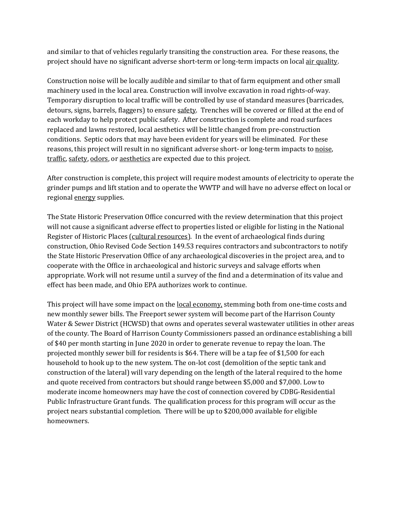and similar to that of vehicles regularly transiting the construction area. For these reasons, the project should have no significant adverse short-term or long-term impacts on local air quality.

Construction noise will be locally audible and similar to that of farm equipment and other small machinery used in the local area. Construction will involve excavation in road rights-of-way. Temporary disruption to local traffic will be controlled by use of standard measures (barricades, detours, signs, barrels, flaggers) to ensure safety. Trenches will be covered or filled at the end of each workday to help protect public safety. After construction is complete and road surfaces replaced and lawns restored, local aesthetics will be little changed from pre-construction conditions. Septic odors that may have been evident for years will be eliminated. For these reasons, this project will result in no significant adverse short- or long-term impacts to noise, traffic, safety, odors, or aesthetics are expected due to this project.

After construction is complete, this project will require modest amounts of electricity to operate the grinder pumps and lift station and to operate the WWTP and will have no adverse effect on local or regional energy supplies.

The State Historic Preservation Office concurred with the review determination that this project will not cause a significant adverse effect to properties listed or eligible for listing in the National Register of Historic Places (cultural resources). In the event of archaeological finds during construction, Ohio Revised Code Section 149.53 requires contractors and subcontractors to notify the State Historic Preservation Office of any archaeological discoveries in the project area, and to cooperate with the Office in archaeological and historic surveys and salvage efforts when appropriate. Work will not resume until a survey of the find and a determination of its value and effect has been made, and Ohio EPA authorizes work to continue.

This project will have some impact on the <u>local economy</u>, stemming both from one-time costs and new monthly sewer bills. The Freeport sewer system will become part of the Harrison County Water & Sewer District (HCWSD) that owns and operates several wastewater utilities in other areas of the county. The Board of Harrison County Commissioners passed an ordinance establishing a bill of \$40 per month starting in June 2020 in order to generate revenue to repay the loan. The projected monthly sewer bill for residents is \$64. There will be a tap fee of \$1,500 for each household to hook up to the new system. The on-lot cost (demolition of the septic tank and construction of the lateral) will vary depending on the length of the lateral required to the home and quote received from contractors but should range between \$5,000 and \$7,000. Low to moderate income homeowners may have the cost of connection covered by CDBG-Residential Public Infrastructure Grant funds. The qualification process for this program will occur as the project nears substantial completion. There will be up to \$200,000 available for eligible homeowners.